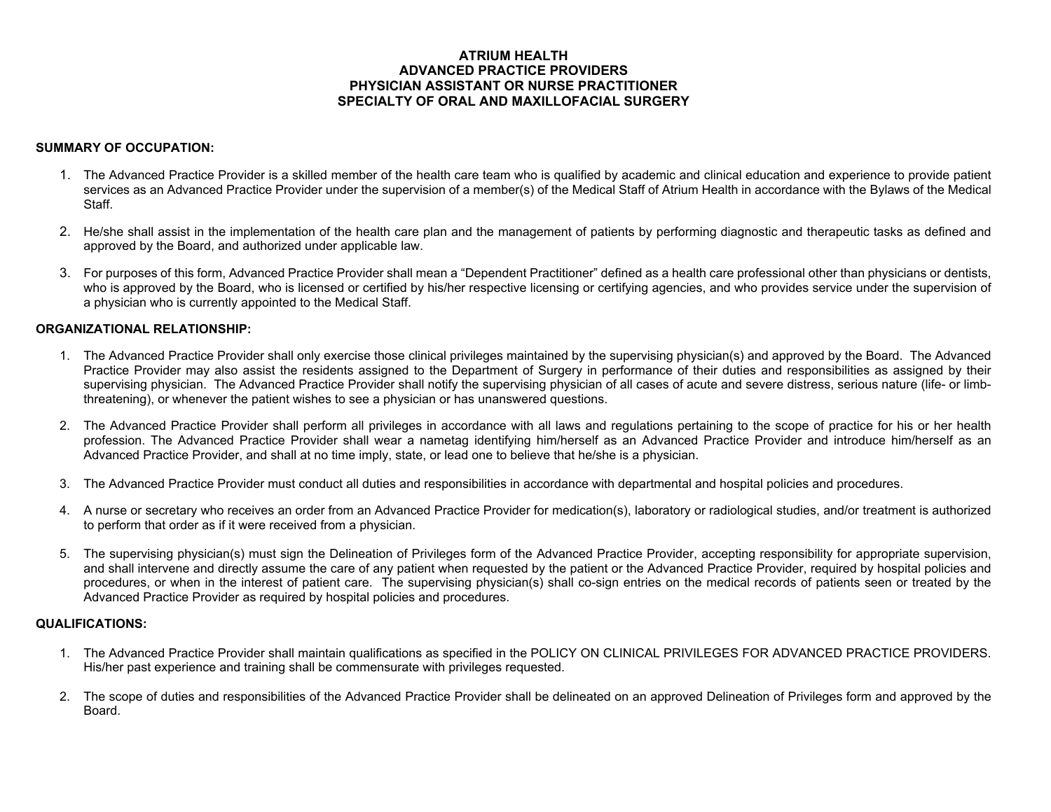# **ATRIUM HEALTH ADVANCED PRACTICE PROVIDERS PHYSICIAN ASSISTANT OR NURSE PRACTITIONER SPECIALTY OF ORAL AND MAXILLOFACIAL SURGERY**

## **SUMMARY OF OCCUPATION:**

- 1. The Advanced Practice Provider is a skilled member of the health care team who is qualified by academic and clinical education and experience to provide patient services as an Advanced Practice Provider under the supervision of a member(s) of the Medical Staff of Atrium Health in accordance with the Bylaws of the Medical Staff.
- 2. He/she shall assist in the implementation of the health care plan and the management of patients by performing diagnostic and therapeutic tasks as defined and approved by the Board, and authorized under applicable law.
- 3. For purposes of this form, Advanced Practice Provider shall mean a "Dependent Practitioner" defined as a health care professional other than physicians or dentists, who is approved by the Board, who is licensed or certified by his/her respective licensing or certifying agencies, and who provides service under the supervision of a physician who is currently appointed to the Medical Staff.

## **ORGANIZATIONAL RELATIONSHIP:**

- 1. The Advanced Practice Provider shall only exercise those clinical privileges maintained by the supervising physician(s) and approved by the Board. The Advanced Practice Provider may also assist the residents assigned to the Department of Surgery in performance of their duties and responsibilities as assigned by their supervising physician. The Advanced Practice Provider shall notify the supervising physician of all cases of acute and severe distress, serious nature (life- or limbthreatening), or whenever the patient wishes to see a physician or has unanswered questions.
- 2. The Advanced Practice Provider shall perform all privileges in accordance with all laws and regulations pertaining to the scope of practice for his or her health profession. The Advanced Practice Provider shall wear a nametag identifying him/herself as an Advanced Practice Provider and introduce him/herself as an Advanced Practice Provider, and shall at no time imply, state, or lead one to believe that he/she is a physician.
- 3. The Advanced Practice Provider must conduct all duties and responsibilities in accordance with departmental and hospital policies and procedures.
- 4. A nurse or secretary who receives an order from an Advanced Practice Provider for medication(s), laboratory or radiological studies, and/or treatment is authorized to perform that order as if it were received from a physician.
- 5. The supervising physician(s) must sign the Delineation of Privileges form of the Advanced Practice Provider, accepting responsibility for appropriate supervision, and shall intervene and directly assume the care of any patient when requested by the patient or the Advanced Practice Provider, required by hospital policies and procedures, or when in the interest of patient care. The supervising physician(s) shall co-sign entries on the medical records of patients seen or treated by the Advanced Practice Provider as required by hospital policies and procedures.

### **QUALIFICATIONS:**

- 1. The Advanced Practice Provider shall maintain qualifications as specified in the POLICY ON CLINICAL PRIVILEGES FOR ADVANCED PRACTICE PROVIDERS. His/her past experience and training shall be commensurate with privileges requested.
- 2. The scope of duties and responsibilities of the Advanced Practice Provider shall be delineated on an approved Delineation of Privileges form and approved by the Board.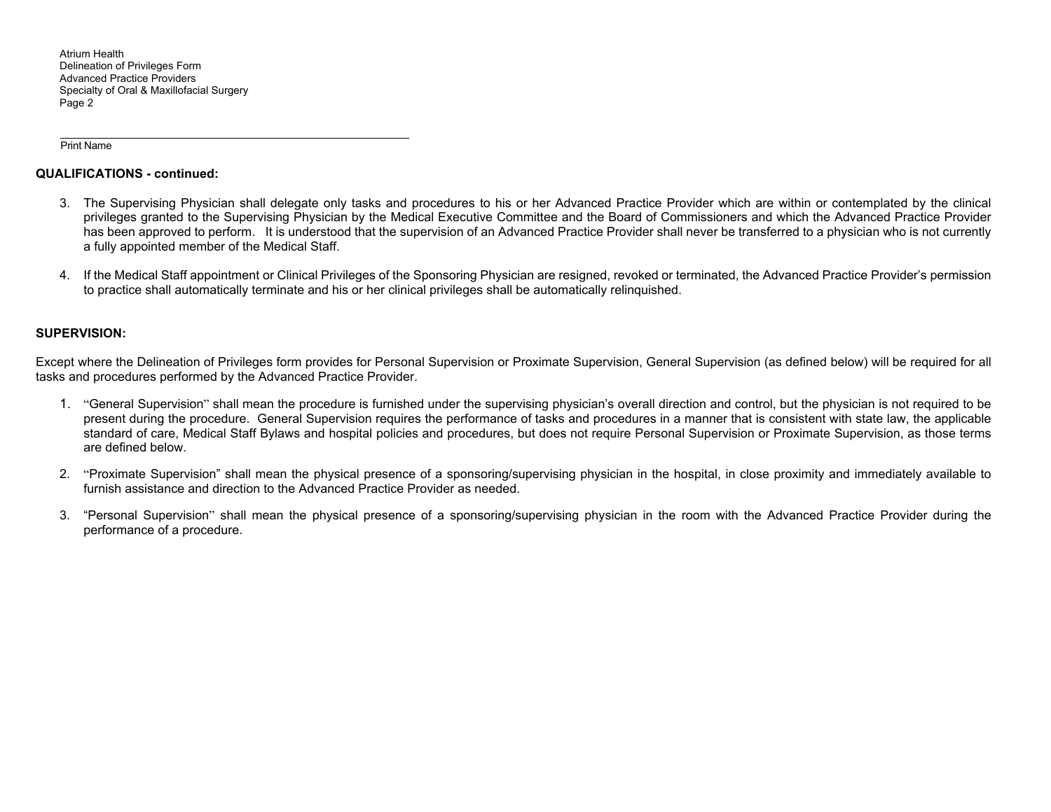Atrium Health Delineation of Privileges Form Advanced Practice Providers Specialty of Oral & Maxillofacial Surgery Page 2

Print Name

## **QUALIFICATIONS - continued:**

- 3. The Supervising Physician shall delegate only tasks and procedures to his or her Advanced Practice Provider which are within or contemplated by the clinical privileges granted to the Supervising Physician by the Medical Executive Committee and the Board of Commissioners and which the Advanced Practice Provider has been approved to perform. It is understood that the supervision of an Advanced Practice Provider shall never be transferred to a physician who is not currently a fully appointed member of the Medical Staff.
- 4. If the Medical Staff appointment or Clinical Privileges of the Sponsoring Physician are resigned, revoked or terminated, the Advanced Practice Provider's permission to practice shall automatically terminate and his or her clinical privileges shall be automatically relinquished.

## **SUPERVISION:**

Except where the Delineation of Privileges form provides for Personal Supervision or Proximate Supervision, General Supervision (as defined below) will be required for all tasks and procedures performed by the Advanced Practice Provider.

- 1. "General Supervision" shall mean the procedure is furnished under the supervising physician's overall direction and control, but the physician is not required to be present during the procedure. General Supervision requires the performance of tasks and procedures in a manner that is consistent with state law, the applicable standard of care, Medical Staff Bylaws and hospital policies and procedures, but does not require Personal Supervision or Proximate Supervision, as those terms are defined below.
- 2. "Proximate Supervision" shall mean the physical presence of a sponsoring/supervising physician in the hospital, in close proximity and immediately available to furnish assistance and direction to the Advanced Practice Provider as needed.
- 3. "Personal Supervision" shall mean the physical presence of a sponsoring/supervising physician in the room with the Advanced Practice Provider during the performance of a procedure.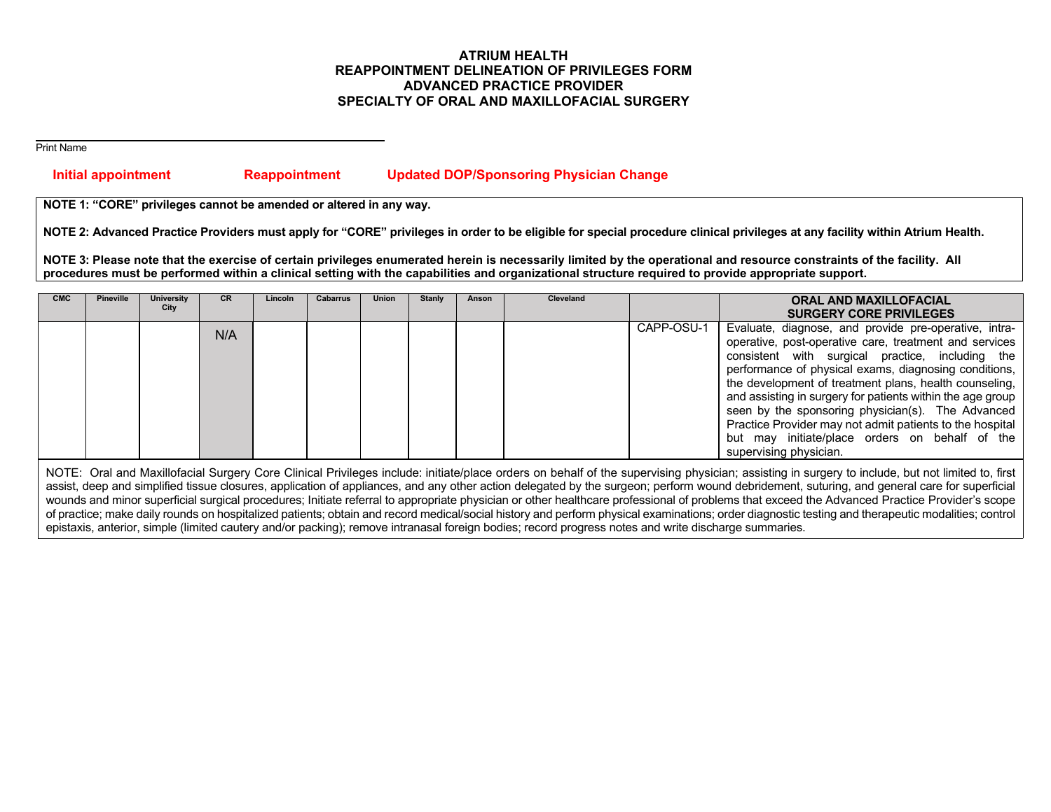# **ATRIUM HEALTH REAPPOINTMENT DELINEATION OF PRIVILEGES FORM ADVANCED PRACTICE PROVIDER SPECIALTY OF ORAL AND MAXILLOFACIAL SURGERY**

Print Name

# **Initial appointment Reappointment Updated DOP/Sponsoring Physician Change**

**NOTE 1: "CORE" privileges cannot be amended or altered in any way.** 

**NOTE 2: Advanced Practice Providers must apply for "CORE" privileges in order to be eligible for special procedure clinical privileges at any facility within Atrium Health.** 

**NOTE 3: Please note that the exercise of certain privileges enumerated herein is necessarily limited by the operational and resource constraints of the facility. All procedures must be performed within a clinical setting with the capabilities and organizational structure required to provide appropriate support.** 

| <b>CMC</b> | <b>Pineville</b> | University<br>City | <b>CR</b> | Lincoln | Cabarrus | <b>Union</b> | <b>Stanly</b> | Anson | <b>Cleveland</b> |            | <b>ORAL AND MAXILLOFACIAL</b><br><b>SURGERY CORE PRIVILEGES</b>                                                                                                                                                                                                                                                                                                                                                                                                                                                                                   |
|------------|------------------|--------------------|-----------|---------|----------|--------------|---------------|-------|------------------|------------|---------------------------------------------------------------------------------------------------------------------------------------------------------------------------------------------------------------------------------------------------------------------------------------------------------------------------------------------------------------------------------------------------------------------------------------------------------------------------------------------------------------------------------------------------|
|            |                  |                    | N/A       |         |          |              |               |       |                  | CAPP-OSU-1 | Evaluate, diagnose, and provide pre-operative, intra-<br>operative, post-operative care, treatment and services<br>consistent with surgical practice, including the<br>performance of physical exams, diagnosing conditions,<br>the development of treatment plans, health counseling,<br>and assisting in surgery for patients within the age group<br>seen by the sponsoring physician(s). The Advanced<br>Practice Provider may not admit patients to the hospital<br>but may initiate/place orders on behalf of the<br>supervising physician. |

NOTE: Oral and Maxillofacial Surgery Core Clinical Privileges include: initiate/place orders on behalf of the supervising physician; assisting in surgery to include, but not limited to, first assist, deep and simplified tissue closures, application of appliances, and any other action delegated by the surgeon; perform wound debridement, suturing, and general care for superficial wounds and minor superficial surgical procedures; Initiate referral to appropriate physician or other healthcare professional of problems that exceed the Advanced Practice Provider's scope of practice; make daily rounds on hospitalized patients; obtain and record medical/social history and perform physical examinations; order diagnostic testing and therapeutic modalities; control epistaxis, anterior, simple (limited cautery and/or packing); remove intranasal foreign bodies; record progress notes and write discharge summaries.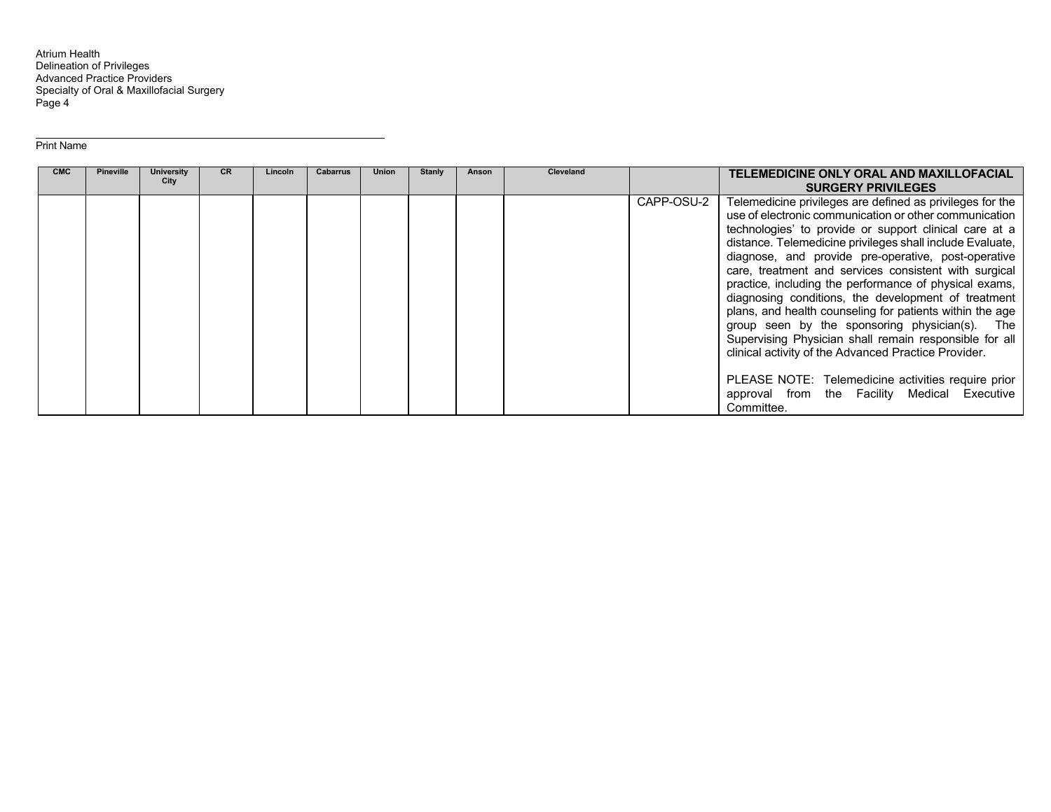Atrium Health Delineation of Privileges Advanced Practice Providers Specialty of Oral & Maxillofacial Surgery Page 4

#### Print Name

| <b>CMC</b> | <b>Pineville</b> | University<br>City | <b>CR</b> | Lincoln | Cabarrus | <b>Union</b> | <b>Stanly</b> | Anson | <b>Cleveland</b> |            | TELEMEDICINE ONLY ORAL AND MAXILLOFACIAL<br><b>SURGERY PRIVILEGES</b>                                                                                                                                                                                                                                                                                                                                                                                                                                                                                                                                                                                                                                                                                                                                             |
|------------|------------------|--------------------|-----------|---------|----------|--------------|---------------|-------|------------------|------------|-------------------------------------------------------------------------------------------------------------------------------------------------------------------------------------------------------------------------------------------------------------------------------------------------------------------------------------------------------------------------------------------------------------------------------------------------------------------------------------------------------------------------------------------------------------------------------------------------------------------------------------------------------------------------------------------------------------------------------------------------------------------------------------------------------------------|
|            |                  |                    |           |         |          |              |               |       |                  | CAPP-OSU-2 | Telemedicine privileges are defined as privileges for the<br>use of electronic communication or other communication<br>technologies' to provide or support clinical care at a<br>distance. Telemedicine privileges shall include Evaluate,<br>diagnose, and provide pre-operative, post-operative<br>care, treatment and services consistent with surgical<br>practice, including the performance of physical exams,<br>diagnosing conditions, the development of treatment<br>plans, and health counseling for patients within the age<br>group seen by the sponsoring physician(s). The<br>Supervising Physician shall remain responsible for all<br>clinical activity of the Advanced Practice Provider.<br>PLEASE NOTE: Telemedicine activities require prior<br>approval from the Facility Medical Executive |
|            |                  |                    |           |         |          |              |               |       |                  |            | Committee.                                                                                                                                                                                                                                                                                                                                                                                                                                                                                                                                                                                                                                                                                                                                                                                                        |